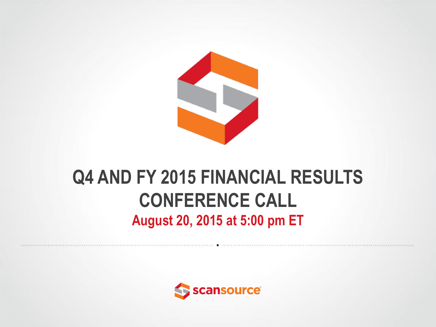

#### **Q4 AND FY 2015 FINANCIAL RESULTS CONFERENCE CALL August 20, 2015 at 5:00 pm ET**

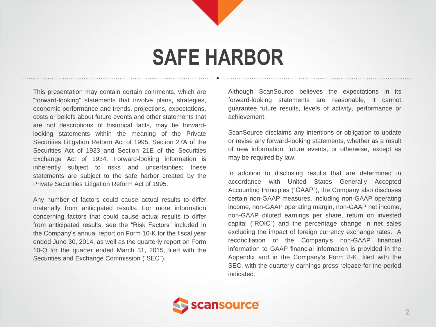#### **SAFE HARBOR**

This presentation may contain certain comments, which are "forward-looking" statements that involve plans, strategies, economic performance and trends, projections, expectations, costs or beliefs about future events and other statements that are not descriptions of historical facts, may be forwardlooking statements within the meaning of the Private Securities Litigation Reform Act of 1995, Section 27A of the Securities Act of 1933 and Section 21E of the Securities Exchange Act of 1934. Forward-looking information is inherently subject to risks and uncertainties; these statements are subject to the safe harbor created by the Private Securities Litigation Reform Act of 1995.

Any number of factors could cause actual results to differ materially from anticipated results. For more information concerning factors that could cause actual results to differ from anticipated results, see the "Risk Factors" included in the Company's annual report on Form 10-K for the fiscal year ended June 30, 2014, as well as the quarterly report on Form 10-Q for the quarter ended March 31, 2015, filed with the Securities and Exchange Commission ("SEC").

Although ScanSource believes the expectations in its forward-looking statements are reasonable, it cannot guarantee future results, levels of activity, performance or achievement.

ScanSource disclaims any intentions or obligation to update or revise any forward-looking statements, whether as a result of new information, future events, or otherwise, except as may be required by law.

In addition to disclosing results that are determined in accordance with United States Generally Accepted Accounting Principles ("GAAP"), the Company also discloses certain non-GAAP measures, including non-GAAP operating income, non-GAAP operating margin, non-GAAP net income, non-GAAP diluted earnings per share, return on invested capital ("ROIC") and the percentage change in net sales excluding the impact of foreign currency exchange rates. A reconciliation of the Company's non-GAAP financial information to GAAP financial information is provided in the Appendix and in the Company's Form 8-K, filed with the SEC, with the quarterly earnings press release for the period indicated.

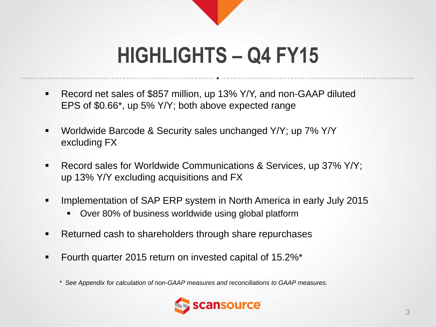## **HIGHLIGHTS – Q4 FY15**

- Record net sales of \$857 million, up 13% Y/Y, and non-GAAP diluted EPS of \$0.66\*, up 5% Y/Y; both above expected range
- Worldwide Barcode & Security sales unchanged Y/Y; up 7% Y/Y excluding FX
- Record sales for Worldwide Communications & Services, up 37% Y/Y; up 13% Y/Y excluding acquisitions and FX
- Implementation of SAP ERP system in North America in early July 2015
	- Over 80% of business worldwide using global platform
- Returned cash to shareholders through share repurchases
- Fourth quarter 2015 return on invested capital of 15.2%\*
	- *\* See Appendix for calculation of non-GAAP measures and reconciliations to GAAP measures.*

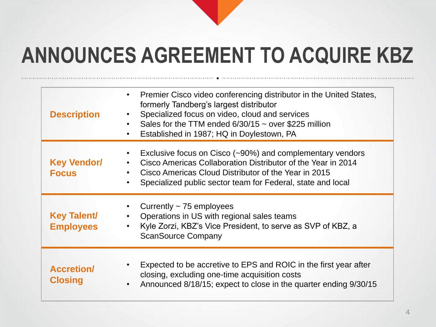## **ANNOUNCES AGREEMENT TO ACQUIRE KBZ**

| <b>Description</b>                     | Premier Cisco video conferencing distributor in the United States,<br>$\bullet$<br>formerly Tandberg's largest distributor<br>Specialized focus on video, cloud and services<br>Sales for the TTM ended $6/30/15 \sim$ over \$225 million<br>$\bullet$<br>Established in 1987; HQ in Doylestown, PA<br>$\bullet$ |
|----------------------------------------|------------------------------------------------------------------------------------------------------------------------------------------------------------------------------------------------------------------------------------------------------------------------------------------------------------------|
| <b>Key Vendor/</b><br><b>Focus</b>     | Exclusive focus on Cisco $({}_{20\%})$ and complementary vendors<br>$\bullet$<br>Cisco Americas Collaboration Distributor of the Year in 2014<br>$\bullet$<br>Cisco Americas Cloud Distributor of the Year in 2015<br>Specialized public sector team for Federal, state and local<br>$\bullet$                   |
| <b>Key Talent/</b><br><b>Employees</b> | Currently $\sim$ 75 employees<br>Operations in US with regional sales teams<br>Kyle Zorzi, KBZ's Vice President, to serve as SVP of KBZ, a<br><b>ScanSource Company</b>                                                                                                                                          |
| <b>Accretion/</b><br><b>Closing</b>    | Expected to be accretive to EPS and ROIC in the first year after<br>$\bullet$<br>closing, excluding one-time acquisition costs<br>Announced 8/18/15; expect to close in the quarter ending 9/30/15<br>$\bullet$                                                                                                  |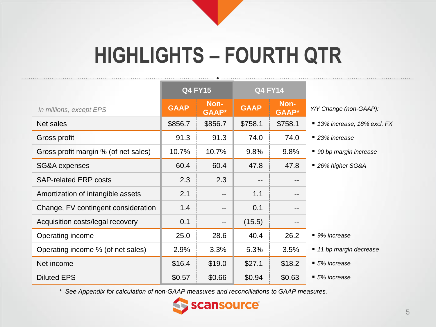## **HIGHLIGHTS – FOURTH QTR**

 $...............$ 

|                                      | <b>Q4 FY15</b> |                          | <b>Q4 FY14</b>    |                      |                              |
|--------------------------------------|----------------|--------------------------|-------------------|----------------------|------------------------------|
| In millions, except EPS              | <b>GAAP</b>    | Non-<br><b>GAAP</b> *    | <b>GAAP</b>       | Non-<br><b>GAAP*</b> | Y/Y Change (non-GAAP):       |
| Net sales                            | \$856.7        | \$856.7                  | \$758.1           | \$758.1              | ■ 13% increase; 18% excl. FX |
| Gross profit                         | 91.3           | 91.3                     | 74.0              | 74.0                 | ■ 23% increase               |
| Gross profit margin % (of net sales) | 10.7%          | 10.7%                    | 9.8%              | 9.8%                 | ■ 90 bp margin increase      |
| SG&A expenses                        | 60.4           | 60.4                     | 47.8              | 47.8                 | ■ 26% higher SG&A            |
| <b>SAP-related ERP costs</b>         | 2.3            | 2.3                      | $\qquad \qquad -$ |                      |                              |
| Amortization of intangible assets    | 2.1            | $\qquad \qquad -$        | 1.1               | --                   |                              |
| Change, FV contingent consideration  | 1.4            | $\qquad \qquad -$        | 0.1               | $- -$                |                              |
| Acquisition costs/legal recovery     | 0.1            | $\overline{\phantom{m}}$ | (15.5)            | $- -$                |                              |
| Operating income                     | 25.0           | 28.6                     | 40.4              | 26.2                 | ■ 9% increase                |
| Operating income % (of net sales)    | 2.9%           | 3.3%                     | 5.3%              | 3.5%                 | ■ 11 bp margin decrease      |
| Net income                           | \$16.4         | \$19.0                   | \$27.1            | \$18.2               | ■ 5% increase                |
| <b>Diluted EPS</b>                   | \$0.57         | \$0.66                   | \$0.94            | \$0.63               | ■ 5% increase                |

*\* See Appendix for calculation of non-GAAP measures and reconciliations to GAAP measures.*

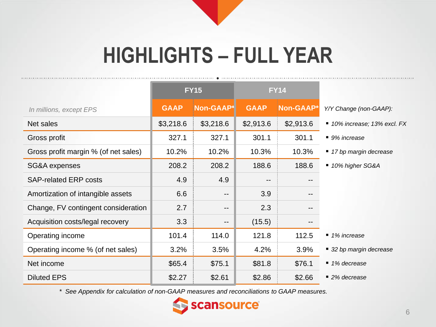## **HIGHLIGHTS – FULL YEAR**

|                                      | <b>FY15</b> |                   |                   | <b>FY14</b> |                              |
|--------------------------------------|-------------|-------------------|-------------------|-------------|------------------------------|
| In millions, except EPS              | <b>GAAP</b> | Non-GAAP*         | <b>GAAP</b>       | Non-GAAP*   | Y/Y Change (non-GAAP):       |
| Net sales                            | \$3,218.6   | \$3,218.6         | \$2,913.6         | \$2,913.6   | ■ 10% increase; 13% excl. FX |
| Gross profit                         | 327.1       | 327.1             | 301.1             | 301.1       | $\blacksquare$ 9% increase   |
| Gross profit margin % (of net sales) | 10.2%       | 10.2%             | 10.3%             | 10.3%       | ■ 17 bp margin decrease      |
| SG&A expenses                        | 208.2       | 208.2             | 188.6             | 188.6       | ■ 10% higher SG&A            |
| <b>SAP-related ERP costs</b>         | 4.9         | 4.9               | $\qquad \qquad -$ | --          |                              |
| Amortization of intangible assets    | 6.6         | $-$               | 3.9               | --          |                              |
| Change, FV contingent consideration  | 2.7         | $- -$             | 2.3               |             |                              |
| Acquisition costs/legal recovery     | 3.3         | $\qquad \qquad -$ | (15.5)            |             |                              |
| Operating income                     | 101.4       | 114.0             | 121.8             | 112.5       | ■ 1% increase                |
| Operating income % (of net sales)    | 3.2%        | 3.5%              | 4.2%              | 3.9%        | ■ 32 bp margin decrease      |
| Net income                           | \$65.4      | \$75.1            | \$81.8            | \$76.1      | ■ 1% decrease                |
| <b>Diluted EPS</b>                   | \$2.27      | \$2.61            | \$2.86            | \$2.66      | ■ 2% decrease                |

*\* See Appendix for calculation of non-GAAP measures and reconciliations to GAAP measures.*

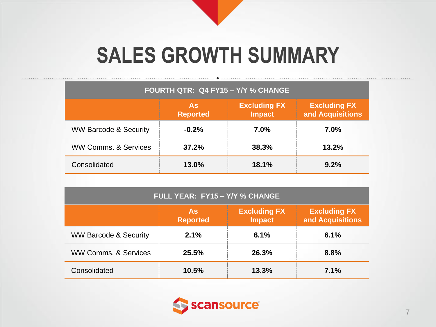## **SALES GROWTH SUMMARY**

| FOURTH QTR: Q4 FY15 - Y/Y % CHANGE                                                                       |         |       |       |  |  |  |  |  |
|----------------------------------------------------------------------------------------------------------|---------|-------|-------|--|--|--|--|--|
| <b>Excluding FX</b><br><b>Excluding FX</b><br><b>As</b><br>and Acquisitions<br>Impact<br><b>Reported</b> |         |       |       |  |  |  |  |  |
| <b>WW Barcode &amp; Security</b>                                                                         | $-0.2%$ | 7.0%  | 7.0%  |  |  |  |  |  |
| <b>WW Comms, &amp; Services</b>                                                                          | 37.2%   | 38.3% | 13.2% |  |  |  |  |  |
| Consolidated                                                                                             | 13.0%   | 18.1% | 9.2%  |  |  |  |  |  |

| FULL YEAR: FY15 - Y/Y % CHANGE   |                              |                                      |                                         |  |  |  |  |  |
|----------------------------------|------------------------------|--------------------------------------|-----------------------------------------|--|--|--|--|--|
|                                  | <b>As</b><br><b>Reported</b> | <b>Excluding FX</b><br><b>Impact</b> | <b>Excluding FX</b><br>and Acquisitions |  |  |  |  |  |
| <b>WW Barcode &amp; Security</b> | 2.1%                         | 6.1%                                 | 6.1%                                    |  |  |  |  |  |
| <b>WW Comms, &amp; Services</b>  | 25.5%                        | 26.3%                                | 8.8%                                    |  |  |  |  |  |
| Consolidated                     | 10.5%                        | 13.3%                                | 7.1%                                    |  |  |  |  |  |

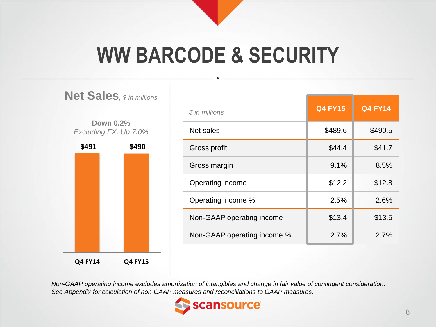## **WW BARCODE & SECURITY**

#### **Net Sales***, \$ in millions*

**Down 0.2%** *Excluding FX, Up 7.0%*



| \$ in millions              | <b>Q4 FY15</b> | <b>Q4 FY14</b> |
|-----------------------------|----------------|----------------|
| Net sales                   | \$489.6        | \$490.5        |
| Gross profit                | \$44.4         | \$41.7         |
| Gross margin                | 9.1%           | 8.5%           |
| Operating income            | \$12.2         | \$12.8         |
| Operating income %          | 2.5%           | 2.6%           |
| Non-GAAP operating income   | \$13.4         | \$13.5         |
| Non-GAAP operating income % | 2.7%           | 2.7%           |

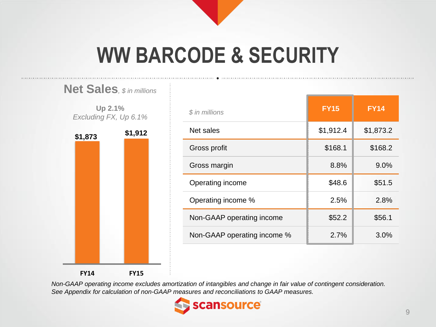## **WW BARCODE & SECURITY**



| \$ in millions              | <b>FY15</b> | <b>FY14</b> |
|-----------------------------|-------------|-------------|
| Net sales                   | \$1,912.4   | \$1,873.2   |
| Gross profit                | \$168.1     | \$168.2     |
| Gross margin                | 8.8%        | 9.0%        |
| Operating income            | \$48.6      | \$51.5      |
| Operating income %          | 2.5%        | 2.8%        |
| Non-GAAP operating income   | \$52.2      | \$56.1      |
| Non-GAAP operating income % | 2.7%        | 3.0%        |

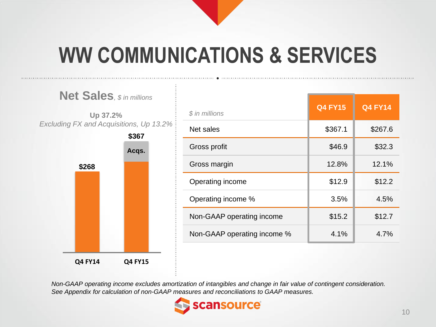## **WW COMMUNICATIONS & SERVICES**



| \$ in millions              | <b>Q4 FY15</b> | <b>Q4 FY14</b> |
|-----------------------------|----------------|----------------|
| Net sales                   | \$367.1        | \$267.6        |
| Gross profit                | \$46.9         | \$32.3         |
| Gross margin                | 12.8%          | 12.1%          |
| Operating income            | \$12.9         | \$12.2         |
| Operating income %          | 3.5%           | 4.5%           |
| Non-GAAP operating income   | \$15.2         | \$12.7         |
| Non-GAAP operating income % | 4.1%           | 4.7%           |

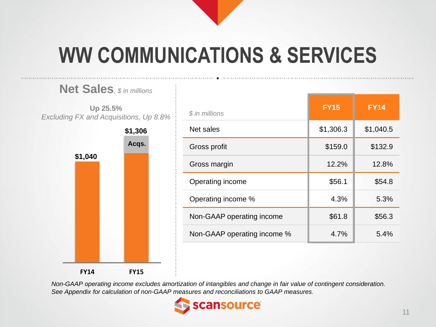## **WW COMMUNICATIONS & SERVICES**



**Net Sales***, \$ in millions*

| \$ in millions              | <b>FY15</b> | <b>FY14</b> |
|-----------------------------|-------------|-------------|
| Net sales                   | \$1,306.3   | \$1,040.5   |
| Gross profit                | \$159.0     | \$132.9     |
| Gross margin                | 12.2%       | 12.8%       |
| Operating income            | \$56.1      | \$54.8      |
| Operating income %          | 4.3%        | 5.3%        |
| Non-GAAP operating income   | \$61.8      | \$56.3      |
| Non-GAAP operating income % | 4.7%        | 5.4%        |

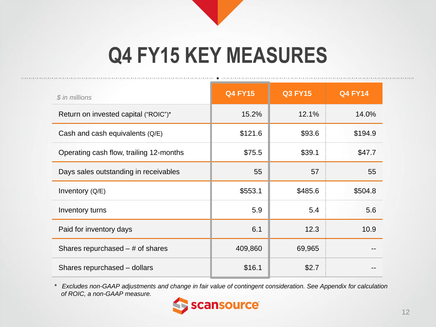## **Q4 FY15 KEY MEASURES**

| \$ in millions                          | <b>Q4 FY15</b> | <b>Q3 FY15</b> | <b>Q4 FY14</b> |
|-----------------------------------------|----------------|----------------|----------------|
| Return on invested capital ("ROIC")*    | 15.2%          | 12.1%          | 14.0%          |
| Cash and cash equivalents (Q/E)         | \$121.6        | \$93.6         | \$194.9        |
| Operating cash flow, trailing 12-months | \$75.5         | \$39.1         | \$47.7         |
| Days sales outstanding in receivables   | 55             | 57             | 55             |
| Inventory (Q/E)                         | \$553.1        | \$485.6        | \$504.8        |
| Inventory turns                         | 5.9            | 5.4            | 5.6            |
| Paid for inventory days                 | 6.1            | 12.3           | 10.9           |
| Shares repurchased $-$ # of shares      | 409,860        | 69,965         |                |
| Shares repurchased - dollars            | \$16.1         | \$2.7          |                |

*\* Excludes non-GAAP adjustments and change in fair value of contingent consideration. See Appendix for calculation of ROIC, a non-GAAP measure.*

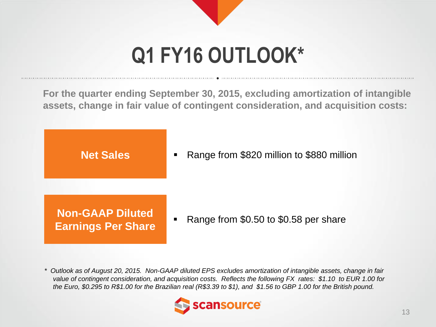# **Q1 FY16 OUTLOOK\***

**For the quarter ending September 30, 2015, excluding amortization of intangible assets, change in fair value of contingent consideration, and acquisition costs:**

**Net Sales**

Range from \$820 million to \$880 million

**Non-GAAP Diluted Earnings Per Share**

Range from \$0.50 to \$0.58 per share

*\* Outlook as of August 20, 2015. Non-GAAP diluted EPS excludes amortization of intangible assets, change in fair value of contingent consideration, and acquisition costs. Reflects the following FX rates: \$1.10 to EUR 1.00 for the Euro, \$0.295 to R\$1.00 for the Brazilian real (R\$3.39 to \$1), and \$1.56 to GBP 1.00 for the British pound.*

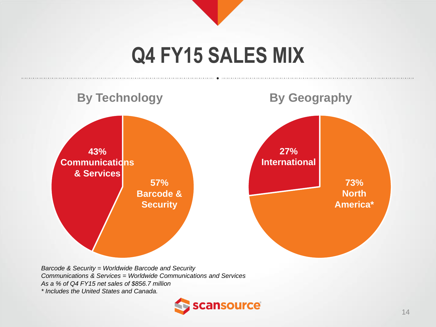#### **Q4 FY15 SALES MIX**



*Barcode & Security = Worldwide Barcode and Security Communications & Services = Worldwide Communications and Services As a % of Q4 FY15 net sales of \$856.7 million \* Includes the United States and Canada.*

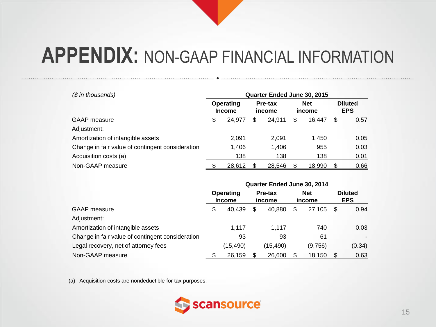| $$$ in thousands)                                |                            | Quarter Ended June 30, 2015 |                      |                              |
|--------------------------------------------------|----------------------------|-----------------------------|----------------------|------------------------------|
|                                                  | Operating<br><b>Income</b> | Pre-tax<br>income           | <b>Net</b><br>income | <b>Diluted</b><br><b>EPS</b> |
| <b>GAAP</b> measure                              | \$<br>24.977               | \$<br>24.911                | \$<br>16.447         | \$<br>0.57                   |
| Adjustment:                                      |                            |                             |                      |                              |
| Amortization of intangible assets                | 2.091                      | 2,091                       | 1.450                | 0.05                         |
| Change in fair value of contingent consideration | 1,406                      | 1,406                       | 955                  | 0.03                         |
| Acquisition costs (a)                            | 138                        | 138                         | 138                  | 0.01                         |
| Non-GAAP measure                                 | 28,612                     | 28,546                      | 18,990               | 0.66                         |

|                                                  | Quarter Ended June 30, 2014 |          |                   |          |                      |         |                              |        |
|--------------------------------------------------|-----------------------------|----------|-------------------|----------|----------------------|---------|------------------------------|--------|
|                                                  | Operating<br><b>Income</b>  |          | Pre-tax<br>income |          | <b>Net</b><br>income |         | <b>Diluted</b><br><b>EPS</b> |        |
| GAAP measure                                     | S                           | 40.439   | \$                | 40.880   | \$                   | 27.105  | \$                           | 0.94   |
| Adjustment:                                      |                             |          |                   |          |                      |         |                              |        |
| Amortization of intangible assets                |                             | 1.117    |                   | 1.117    |                      | 740     |                              | 0.03   |
| Change in fair value of contingent consideration |                             | 93       |                   | 93       |                      | 61      |                              |        |
| Legal recovery, net of attorney fees             |                             | (15,490) |                   | (15,490) |                      | (9,756) |                              | (0.34) |
| Non-GAAP measure                                 |                             | 26,159   | \$                | 26,600   |                      | 18,150  |                              | 0.63   |

(a) Acquisition costs are nondeductible for tax purposes.

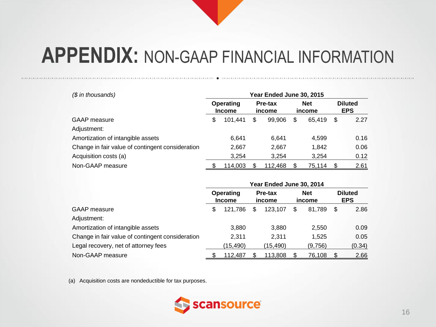| $$$ in thousands)                                | Year Ended June 30, 2015 |                            |    |                   |    |                      |    |                              |
|--------------------------------------------------|--------------------------|----------------------------|----|-------------------|----|----------------------|----|------------------------------|
|                                                  |                          | Operating<br><b>Income</b> |    | Pre-tax<br>income |    | <b>Net</b><br>income |    | <b>Diluted</b><br><b>EPS</b> |
| <b>GAAP</b> measure                              | \$                       | 101.441                    | \$ | 99.906            | \$ | 65.419               | \$ | 2.27                         |
| Adjustment:                                      |                          |                            |    |                   |    |                      |    |                              |
| Amortization of intangible assets                |                          | 6.641                      |    | 6,641             |    | 4.599                |    | 0.16                         |
| Change in fair value of contingent consideration |                          | 2,667                      |    | 2,667             |    | 1.842                |    | 0.06                         |
| Acquisition costs (a)                            |                          | 3,254                      |    | 3,254             |    | 3.254                |    | 0.12                         |
| Non-GAAP measure                                 |                          | 114,003                    |    | 112,468           |    | 75,114               |    | 2.61                         |

|                                                  | Year Ended June 30, 2014 |                            |    |                   |    |                      |    |                              |  |  |  |
|--------------------------------------------------|--------------------------|----------------------------|----|-------------------|----|----------------------|----|------------------------------|--|--|--|
|                                                  |                          | Operating<br><b>Income</b> |    | Pre-tax<br>income |    | <b>Net</b><br>income |    | <b>Diluted</b><br><b>EPS</b> |  |  |  |
| <b>GAAP</b> measure                              | S                        | 121.786                    | \$ | 123.107           | \$ | 81,789               | \$ | 2.86                         |  |  |  |
| Adjustment:                                      |                          |                            |    |                   |    |                      |    |                              |  |  |  |
| Amortization of intangible assets                |                          | 3,880                      |    | 3,880             |    | 2,550                |    | 0.09                         |  |  |  |
| Change in fair value of contingent consideration |                          | 2,311                      |    | 2.311             |    | 1.525                |    | 0.05                         |  |  |  |
| Legal recovery, net of attorney fees             |                          | (15, 490)                  |    | (15, 490)         |    | (9,756)              |    | (0.34)                       |  |  |  |
| Non-GAAP measure                                 |                          | 112,487                    |    | 113,808           |    | 76,108               |    | 2.66                         |  |  |  |

(a) Acquisition costs are nondeductible for tax purposes.

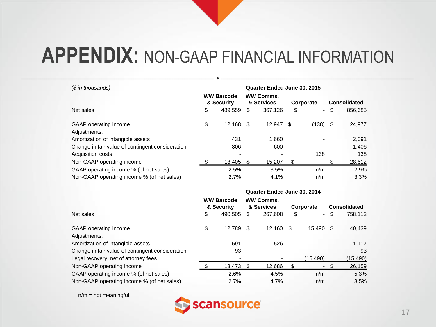| (\$ in thousands)                                |                                 |           |    |                                             |    |        | Quarter Ended June 30, 2015 |         |  |  |  |  |  |  |  |
|--------------------------------------------------|---------------------------------|-----------|----|---------------------------------------------|----|--------|-----------------------------|---------|--|--|--|--|--|--|--|
|                                                  | <b>WW Barcode</b><br>& Security |           |    | <b>WW Comms.</b><br>& Services<br>Corporate |    |        | <b>Consolidated</b>         |         |  |  |  |  |  |  |  |
| Net sales                                        | \$                              | 489.559   | S. | 367,126                                     | \$ | $\sim$ | \$                          | 856,685 |  |  |  |  |  |  |  |
| GAAP operating income<br>Adjustments:            | \$                              | 12.168 \$ |    | 12.947 \$                                   |    | (138)  | - \$                        | 24,977  |  |  |  |  |  |  |  |
| Amortization of intangible assets                |                                 | 431       |    | 1.660                                       |    |        |                             | 2,091   |  |  |  |  |  |  |  |
| Change in fair value of contingent consideration |                                 | 806       |    | 600                                         |    |        |                             | 1,406   |  |  |  |  |  |  |  |
| Acquisition costs                                |                                 |           |    |                                             |    | 138    |                             | 138     |  |  |  |  |  |  |  |
| Non-GAAP operating income                        |                                 | 13.405    | -S | 15.207                                      | \$ | ۰.     |                             | 28,612  |  |  |  |  |  |  |  |
| GAAP operating income % (of net sales)           |                                 | 2.5%      |    | 3.5%                                        |    | n/m    |                             | 2.9%    |  |  |  |  |  |  |  |
| Non-GAAP operating income % (of net sales)       |                                 | 2.7%      |    | 4.1%                                        |    | n/m    |                             | 3.3%    |  |  |  |  |  |  |  |

|                                                  | Quarter Ended June 30, 2014 |                                 |     |                                |     |                          |      |                     |  |  |  |
|--------------------------------------------------|-----------------------------|---------------------------------|-----|--------------------------------|-----|--------------------------|------|---------------------|--|--|--|
|                                                  |                             | <b>WW Barcode</b><br>& Security |     | <b>WW Comms.</b><br>& Services |     | Corporate                |      | <b>Consolidated</b> |  |  |  |
| Net sales                                        | \$                          | 490,505                         | \$  | 267,608                        | \$  | $\overline{\phantom{0}}$ | \$   | 758,113             |  |  |  |
| GAAP operating income<br>Adjustments:            | \$                          | 12.789                          | \$. | 12,160                         | \$. | 15.490                   | - SS | 40,439              |  |  |  |
| Amortization of intangible assets                |                             | 591                             |     | 526                            |     |                          |      | 1.117               |  |  |  |
| Change in fair value of contingent consideration |                             | 93                              |     |                                |     |                          |      | 93                  |  |  |  |
| Legal recovery, net of attorney fees             |                             | $\overline{\phantom{0}}$        |     |                                |     | (15.490)                 |      | (15,490)            |  |  |  |
| Non-GAAP operating income                        |                             | 13,473                          |     | 12.686                         | \$  |                          |      | 26,159              |  |  |  |
| GAAP operating income % (of net sales)           |                             | 2.6%                            |     | 4.5%                           |     | n/m                      |      | 5.3%                |  |  |  |
| Non-GAAP operating income % (of net sales)       |                             | 2.7%                            |     | 4.7%                           |     | n/m                      |      | 3.5%                |  |  |  |

 $n/m = not meaningful$ 

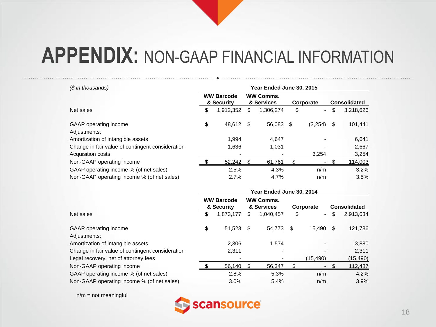| (\$ in thousands)                                | Year Ended June 30, 2015        |           |    |                                |           |         |    |                     |  |  |
|--------------------------------------------------|---------------------------------|-----------|----|--------------------------------|-----------|---------|----|---------------------|--|--|
|                                                  | <b>WW Barcode</b><br>& Security |           |    | <b>WW Comms.</b><br>& Services | Corporate |         |    | <b>Consolidated</b> |  |  |
| Net sales                                        | \$                              | 1,912,352 | \$ | 1,306,274                      | \$        | $\sim$  | \$ | 3,218,626           |  |  |
| GAAP operating income<br>Adjustments:            | \$                              | 48.612 \$ |    | 56,083 \$                      |           | (3,254) | \$ | 101,441             |  |  |
| Amortization of intangible assets                |                                 | 1.994     |    | 4,647                          |           |         |    | 6,641               |  |  |
| Change in fair value of contingent consideration |                                 | 1,636     |    | 1.031                          |           |         |    | 2,667               |  |  |
| Acquisition costs                                |                                 |           |    |                                |           | 3.254   |    | 3,254               |  |  |
| Non-GAAP operating income                        |                                 | 52,242    |    | 61.761                         | \$        |         |    | 114,003             |  |  |
| GAAP operating income % (of net sales)           |                                 | 2.5%      |    | 4.3%                           |           | n/m     |    | 3.2%                |  |  |
| Non-GAAP operating income % (of net sales)       |                                 | 2.7%      |    | 4.7%                           |           | n/m     |    | 3.5%                |  |  |

|                                                  | Year Ended June 30, 2014 |                                 |      |                                |    |                          |    |                     |  |  |  |  |
|--------------------------------------------------|--------------------------|---------------------------------|------|--------------------------------|----|--------------------------|----|---------------------|--|--|--|--|
|                                                  |                          | <b>WW Barcode</b><br>& Security |      | <b>WW Comms.</b><br>& Services |    | Corporate                |    | <b>Consolidated</b> |  |  |  |  |
| Net sales                                        | \$                       | 1,873,177                       | \$   | 1,040,457                      | \$ | $\overline{\phantom{0}}$ | \$ | 2,913,634           |  |  |  |  |
| GAAP operating income                            | \$                       | 51,523                          | - \$ | 54,773                         | \$ | 15.490                   | S  | 121,786             |  |  |  |  |
| Adjustments:                                     |                          |                                 |      |                                |    |                          |    |                     |  |  |  |  |
| Amortization of intangible assets                |                          | 2,306                           |      | 1.574                          |    |                          |    | 3,880               |  |  |  |  |
| Change in fair value of contingent consideration |                          | 2,311                           |      |                                |    |                          |    | 2,311               |  |  |  |  |
| Legal recovery, net of attorney fees             |                          | $\overline{\phantom{0}}$        |      |                                |    | (15, 490)                |    | (15, 490)           |  |  |  |  |
| Non-GAAP operating income                        |                          | 56,140                          |      | 56,347                         |    |                          |    | 112,487             |  |  |  |  |
| GAAP operating income % (of net sales)           |                          | 2.8%                            |      | 5.3%                           |    | n/m                      |    | 4.2%                |  |  |  |  |
| Non-GAAP operating income % (of net sales)       |                          | 3.0%                            |      | 5.4%                           |    | n/m                      |    | 3.9%                |  |  |  |  |

 $n/m = not meaningful$ 

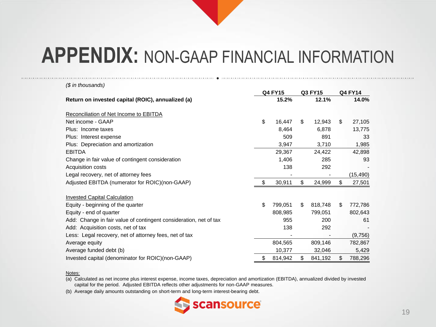| $$$ in thousands)                                                 |                |         |         |         |                |           |
|-------------------------------------------------------------------|----------------|---------|---------|---------|----------------|-----------|
|                                                                   | <b>Q4 FY15</b> |         | Q3 FY15 |         | <b>Q4 FY14</b> |           |
| Return on invested capital (ROIC), annualized (a)                 |                | 15.2%   |         | 12.1%   |                | 14.0%     |
| Reconciliation of Net Income to EBITDA                            |                |         |         |         |                |           |
| Net income - GAAP                                                 | \$             | 16,447  | \$      | 12,943  | \$.            | 27,105    |
| Plus: Income taxes                                                |                | 8,464   |         | 6,878   |                | 13,775    |
| Plus: Interest expense                                            |                | 509     |         | 891     |                | 33        |
| Plus: Depreciation and amortization                               |                | 3,947   |         | 3,710   |                | 1,985     |
| <b>EBITDA</b>                                                     |                | 29,367  |         | 24,422  |                | 42,898    |
| Change in fair value of contingent consideration                  |                | 1,406   |         | 285     |                | 93        |
| Acquisition costs                                                 |                | 138     |         | 292     |                |           |
| Legal recovery, net of attorney fees                              |                |         |         |         |                | (15, 490) |
| Adjusted EBITDA (numerator for ROIC)(non-GAAP)                    | \$             | 30,911  | \$      | 24,999  | \$             | 27,501    |
| <b>Invested Capital Calculation</b>                               |                |         |         |         |                |           |
| Equity - beginning of the quarter                                 | \$             | 799,051 | \$      | 818,748 | \$             | 772,786   |
| Equity - end of quarter                                           |                | 808,985 |         | 799,051 |                | 802,643   |
| Add: Change in fair value of contingent consideration, net of tax |                | 955     |         | 200     |                | 61        |
| Add: Acquisition costs, net of tax                                |                | 138     |         | 292     |                |           |
| Less: Legal recovery, net of attorney fees, net of tax            |                |         |         |         |                | (9,756)   |
| Average equity                                                    |                | 804,565 |         | 809,146 |                | 782,867   |
| Average funded debt (b)                                           |                | 10,377  |         | 32,046  |                | 5,429     |
| Invested capital (denominator for ROIC)(non-GAAP)                 | \$             | 814,942 | \$      | 841,192 | \$             | 788,296   |

#### Notes:

(a) Calculated as net income plus interest expense, income taxes, depreciation and amortization (EBITDA), annualized divided by invested capital for the period. Adjusted EBITDA reflects other adjustments for non-GAAP measures.

(b) Average daily amounts outstanding on short-term and long-term interest-bearing debt.

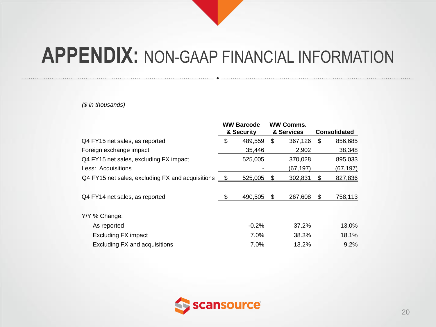*(\$ in thousands)*

|                                                                | <b>WW Barcode</b><br>& Security |     | <b>WW Comms.</b><br>& Services |    | <b>Consolidated</b> |
|----------------------------------------------------------------|---------------------------------|-----|--------------------------------|----|---------------------|
| Q4 FY15 net sales, as reported                                 | 489,559                         | S   | 367,126                        | S  |                     |
|                                                                | \$                              |     |                                |    | 856,685             |
| Foreign exchange impact                                        | 35,446                          |     | 2,902                          |    | 38,348              |
| Q4 FY15 net sales, excluding FX impact                         | 525,005                         |     | 370,028                        |    | 895,033             |
| Less: Acquisitions                                             |                                 |     | (67, 197)                      |    | (67,197)            |
| Q4 FY15 net sales, excluding FX and acquisitions $\frac{\$}{}$ | 525,005                         | S.  | 302,831                        | \$ | 827,836             |
|                                                                |                                 |     |                                |    |                     |
| Q4 FY14 net sales, as reported                                 | 490,505                         | \$. | 267.608                        | S  | 758,113             |
|                                                                |                                 |     |                                |    |                     |
| Y/Y % Change:                                                  |                                 |     |                                |    |                     |
| As reported                                                    | $-0.2%$                         |     | 37.2%                          |    | 13.0%               |
| <b>Excluding FX impact</b>                                     | 7.0%                            |     | 38.3%                          |    | 18.1%               |
| <b>Excluding FX and acquisitions</b>                           | 7.0%                            |     | 13.2%                          |    | 9.2%                |